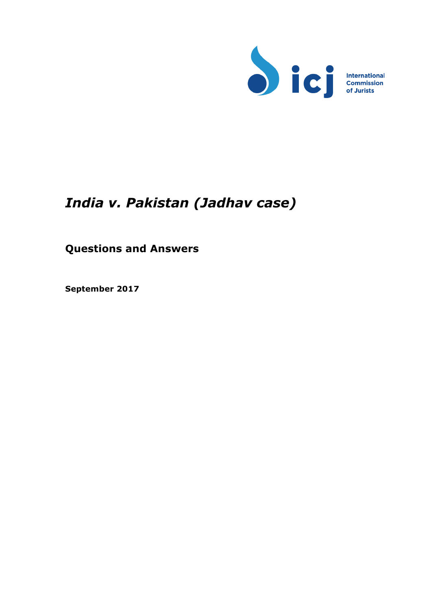

# *India v. Pakistan (Jadhav case)*

## **Questions and Answers**

**September 2017**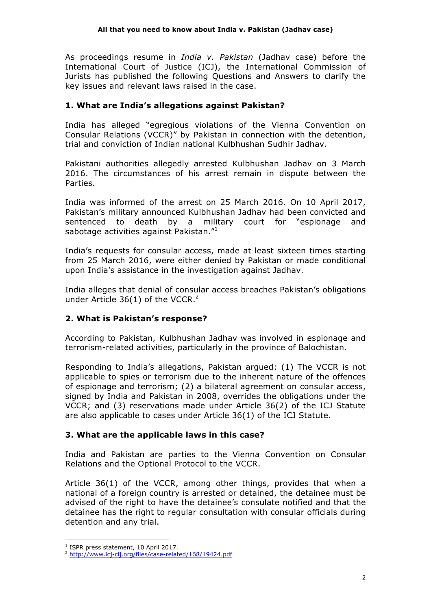As proceedings resume in *India v. Pakistan* (Jadhav case) before the International Court of Justice (ICJ), the International Commission of Jurists has published the following Questions and Answers to clarify the key issues and relevant laws raised in the case.

### **1. What are India's allegations against Pakistan?**

India has alleged "egregious violations of the Vienna Convention on Consular Relations (VCCR)" by Pakistan in connection with the detention, trial and conviction of Indian national Kulbhushan Sudhir Jadhav.

Pakistani authorities allegedly arrested Kulbhushan Jadhav on 3 March 2016. The circumstances of his arrest remain in dispute between the Parties.

India was informed of the arrest on 25 March 2016. On 10 April 2017, Pakistan's military announced Kulbhushan Jadhav had been convicted and sentenced to death by a military court for "espionage and sabotage activities against Pakistan."<sup>1</sup>

India's requests for consular access, made at least sixteen times starting from 25 March 2016, were either denied by Pakistan or made conditional upon India's assistance in the investigation against Jadhav.

India alleges that denial of consular access breaches Pakistan's obligations under Article  $36(1)$  of the VCCR.<sup>2</sup>

#### **2. What is Pakistan's response?**

According to Pakistan, Kulbhushan Jadhav was involved in espionage and terrorism-related activities, particularly in the province of Balochistan.

Responding to India's allegations, Pakistan argued: (1) The VCCR is not applicable to spies or terrorism due to the inherent nature of the offences of espionage and terrorism; (2) a bilateral agreement on consular access, signed by India and Pakistan in 2008, overrides the obligations under the VCCR; and (3) reservations made under Article 36(2) of the ICJ Statute are also applicable to cases under Article 36(1) of the ICJ Statute.

#### **3. What are the applicable laws in this case?**

India and Pakistan are parties to the Vienna Convention on Consular Relations and the Optional Protocol to the VCCR.

Article 36(1) of the VCCR, among other things, provides that when a national of a foreign country is arrested or detained, the detainee must be advised of the right to have the detainee's consulate notified and that the detainee has the right to regular consultation with consular officials during detention and any trial.

 <sup>1</sup> ISPR press statement, 10 April 2017.

<sup>2</sup> http://www.icj-cij.org/files/case-related/168/19424.pdf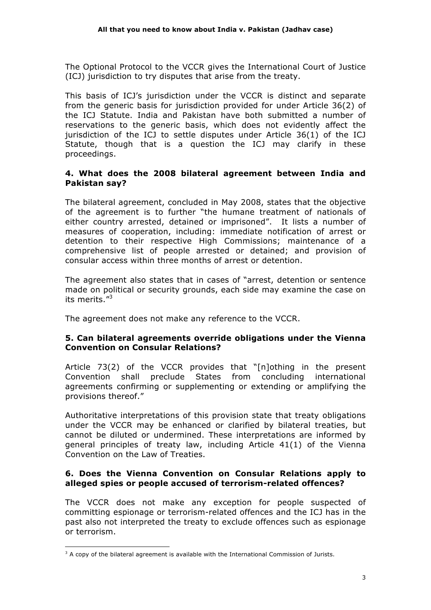The Optional Protocol to the VCCR gives the International Court of Justice (ICJ) jurisdiction to try disputes that arise from the treaty.

This basis of ICJ's jurisdiction under the VCCR is distinct and separate from the generic basis for jurisdiction provided for under Article 36(2) of the ICJ Statute. India and Pakistan have both submitted a number of reservations to the generic basis, which does not evidently affect the jurisdiction of the ICJ to settle disputes under Article 36(1) of the ICJ Statute, though that is a question the ICJ may clarify in these proceedings.

#### **4. What does the 2008 bilateral agreement between India and Pakistan say?**

The bilateral agreement, concluded in May 2008, states that the objective of the agreement is to further "the humane treatment of nationals of either country arrested, detained or imprisoned". It lists a number of measures of cooperation, including: immediate notification of arrest or detention to their respective High Commissions; maintenance of a comprehensive list of people arrested or detained; and provision of consular access within three months of arrest or detention.

The agreement also states that in cases of "arrest, detention or sentence made on political or security grounds, each side may examine the case on its merits."<sup>3</sup>

The agreement does not make any reference to the VCCR.

#### **5. Can bilateral agreements override obligations under the Vienna Convention on Consular Relations?**

Article 73(2) of the VCCR provides that "[n]othing in the present Convention shall preclude States from concluding international agreements confirming or supplementing or extending or amplifying the provisions thereof."

Authoritative interpretations of this provision state that treaty obligations under the VCCR may be enhanced or clarified by bilateral treaties, but cannot be diluted or undermined. These interpretations are informed by general principles of treaty law, including Article 41(1) of the Vienna Convention on the Law of Treaties.

#### **6. Does the Vienna Convention on Consular Relations apply to alleged spies or people accused of terrorism-related offences?**

The VCCR does not make any exception for people suspected of committing espionage or terrorism-related offences and the ICJ has in the past also not interpreted the treaty to exclude offences such as espionage or terrorism.

 

 $3$  A copy of the bilateral agreement is available with the International Commission of Jurists.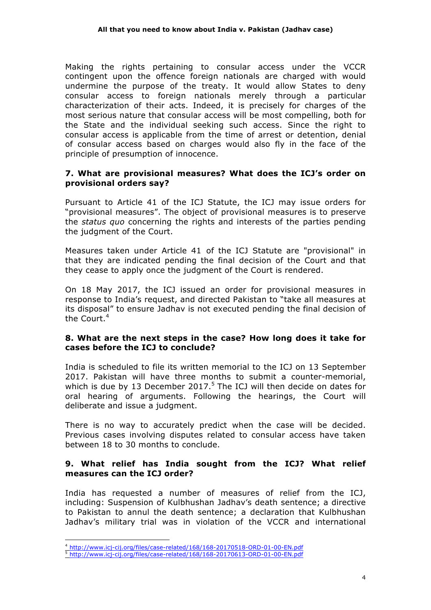Making the rights pertaining to consular access under the VCCR contingent upon the offence foreign nationals are charged with would undermine the purpose of the treaty. It would allow States to deny consular access to foreign nationals merely through a particular characterization of their acts. Indeed, it is precisely for charges of the most serious nature that consular access will be most compelling, both for the State and the individual seeking such access. Since the right to consular access is applicable from the time of arrest or detention, denial of consular access based on charges would also fly in the face of the principle of presumption of innocence.

#### **7. What are provisional measures? What does the ICJ's order on provisional orders say?**

Pursuant to Article 41 of the ICJ Statute, the ICJ may issue orders for "provisional measures". The object of provisional measures is to preserve the *status quo* concerning the rights and interests of the parties pending the judgment of the Court.

Measures taken under Article 41 of the ICJ Statute are "provisional" in that they are indicated pending the final decision of the Court and that they cease to apply once the judgment of the Court is rendered.

On 18 May 2017, the ICJ issued an order for provisional measures in response to India's request, and directed Pakistan to "take all measures at its disposal" to ensure Jadhav is not executed pending the final decision of the Court.<sup>4</sup>

#### **8. What are the next steps in the case? How long does it take for cases before the ICJ to conclude?**

India is scheduled to file its written memorial to the ICJ on 13 September 2017. Pakistan will have three months to submit a counter-memorial, which is due by 13 December 2017.<sup>5</sup> The ICJ will then decide on dates for oral hearing of arguments. Following the hearings, the Court will deliberate and issue a judgment.

There is no way to accurately predict when the case will be decided. Previous cases involving disputes related to consular access have taken between 18 to 30 months to conclude.

#### **9. What relief has India sought from the ICJ? What relief measures can the ICJ order?**

India has requested a number of measures of relief from the ICJ, including: Suspension of Kulbhushan Jadhav's death sentence; a directive to Pakistan to annul the death sentence; a declaration that Kulbhushan Jadhav's military trial was in violation of the VCCR and international

 

 $^4$  http://www.icj-cij.org/files/case-related/168/168-20170518-ORD-01-00-EN.pdf

<sup>&</sup>lt;sup>5</sup> http://www.icj-cij.org/files/case-related/168/168-20170613-ORD-01-00-EN.pdf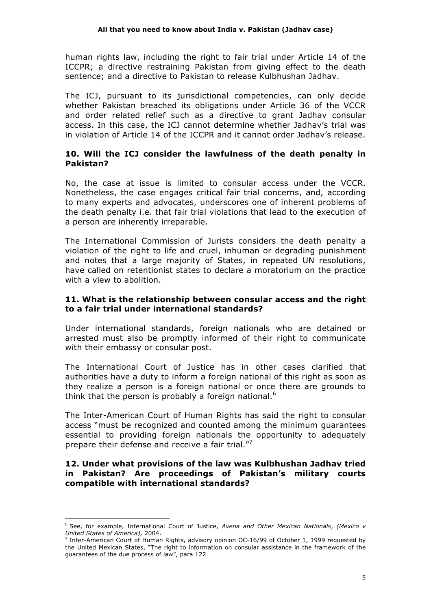human rights law, including the right to fair trial under Article 14 of the ICCPR; a directive restraining Pakistan from giving effect to the death sentence; and a directive to Pakistan to release Kulbhushan Jadhav.

The ICJ, pursuant to its jurisdictional competencies, can only decide whether Pakistan breached its obligations under Article 36 of the VCCR and order related relief such as a directive to grant Jadhav consular access. In this case, the ICJ cannot determine whether Jadhav's trial was in violation of Article 14 of the ICCPR and it cannot order Jadhav's release.

#### **10. Will the ICJ consider the lawfulness of the death penalty in Pakistan?**

No, the case at issue is limited to consular access under the VCCR. Nonetheless, the case engages critical fair trial concerns, and, according to many experts and advocates, underscores one of inherent problems of the death penalty i.e. that fair trial violations that lead to the execution of a person are inherently irreparable.

The International Commission of Jurists considers the death penalty a violation of the right to life and cruel, inhuman or degrading punishment and notes that a large majority of States, in repeated UN resolutions, have called on retentionist states to declare a moratorium on the practice with a view to abolition.

#### **11. What is the relationship between consular access and the right to a fair trial under international standards?**

Under international standards, foreign nationals who are detained or arrested must also be promptly informed of their right to communicate with their embassy or consular post.

The International Court of Justice has in other cases clarified that authorities have a duty to inform a foreign national of this right as soon as they realize a person is a foreign national or once there are grounds to think that the person is probably a foreign national.<sup>6</sup>

The Inter-American Court of Human Rights has said the right to consular access "must be recognized and counted among the minimum guarantees essential to providing foreign nationals the opportunity to adequately prepare their defense and receive a fair trial."<sup>7</sup>

#### **12. Under what provisions of the law was Kulbhushan Jadhav tried in Pakistan? Are proceedings of Pakistan's military courts compatible with international standards?**

 

<sup>6</sup> See, for example, International Court of Justice, *Avena and Other Mexican Nationals*, *(Mexico v United States of America),* 2004.

<sup>7</sup> Inter-American Court of Human Rights, advisory opinion OC-16/99 of October 1, 1999 requested by the United Mexican States, "The right to information on consular assistance in the framework of the guarantees of the due process of law", para 122.